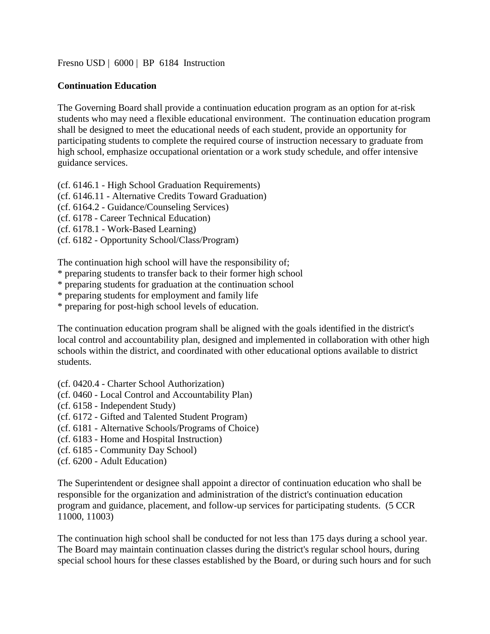[Fresno USD](http://www.fresnounified.org/board/policies/Policies/fusd/loaddistrictpolicy/1050.htm) | [6000](http://www.fresnounified.org/board/policies/Policies/fusd/policycategorylist/1050/6.htm) | BP 6184 Instruction

## **Continuation Education**

The Governing Board shall provide a continuation education program as an option for at-risk students who may need a flexible educational environment. The continuation education program shall be designed to meet the educational needs of each student, provide an opportunity for participating students to complete the required course of instruction necessary to graduate from high school, emphasize occupational orientation or a work study schedule, and offer intensive guidance services.

(cf. 6146.1 - High School Graduation Requirements)

(cf. 6146.11 - Alternative Credits Toward Graduation)

(cf. 6164.2 - Guidance/Counseling Services)

(cf. 6178 - Career Technical Education)

(cf. 6178.1 - Work-Based Learning)

(cf. [6182](http://www.fresnounified.org/board/policies/Policies/fusd/displaypolicy/143707/6.htm) - Opportunity School/Class/Program)

The continuation high school will have the responsibility of;

\* preparing students to transfer back to their former high school

\* preparing students for graduation at the continuation school

\* preparing students for employment and family life

\* preparing for post-high school levels of education.

The continuation education program shall be aligned with the goals identified in the district's local control and accountability plan, designed and implemented in collaboration with other high schools within the district, and coordinated with other educational options available to district students.

(cf. 0420.4 - Charter School Authorization)

- (cf. 0460 Local Control and Accountability Plan)
- (cf. 6158 Independent Study)
- (cf. 6172 Gifted and Talented Student Program)
- (cf. 6181 Alternative Schools/Programs of Choice)
- (cf. 6183 Home and Hospital Instruction)
- (cf. 6185 Community Day School)
- (cf. 6200 Adult Education)

The Superintendent or designee shall appoint a director of continuation education who shall be responsible for the organization and administration of the district's continuation education program and guidance, placement, and follow-up services for participating students. (5 CCR 11000, 11003)

The continuation high school shall be conducted for not less than 175 days during a school year. The Board may maintain continuation classes during the district's regular school hours, during special school hours for these classes established by the Board, or during such hours and for such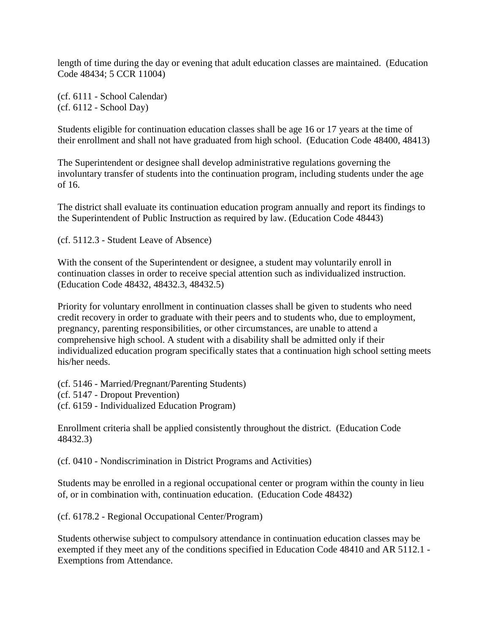length of time during the day or evening that adult education classes are maintained. (Education Code 48434; 5 CCR 11004)

(cf. 6111 - School Calendar) (cf. 6112 - School Day)

Students eligible for continuation education classes shall be age 16 or 17 years at the time of their enrollment and shall not have graduated from high school. (Education Code 48400, 48413)

The Superintendent or designee shall develop administrative regulations governing the involuntary transfer of students into the continuation program, including students under the age of 16.

The district shall evaluate its continuation education program annually and report its findings to the Superintendent of Public Instruction as required by law. (Education Code 48443)

(cf. 5112.3 - Student Leave of Absence)

With the consent of the Superintendent or designee, a student may voluntarily enroll in continuation classes in order to receive special attention such as individualized instruction. (Education Code 48432, 48432.3, 48432.5)

Priority for voluntary enrollment in continuation classes shall be given to students who need credit recovery in order to graduate with their peers and to students who, due to employment, pregnancy, parenting responsibilities, or other circumstances, are unable to attend a comprehensive high school. A student with a disability shall be admitted only if their individualized education program specifically states that a continuation high school setting meets his/her needs.

(cf. 5146 - Married/Pregnant/Parenting Students) (cf. 5147 - Dropout Prevention)

(cf. 6159 - Individualized Education Program)

Enrollment criteria shall be applied consistently throughout the district. (Education Code 48432.3)

(cf. 0410 - Nondiscrimination in District Programs and Activities)

Students may be enrolled in a regional occupational center or program within the county in lieu of, or in combination with, continuation education. (Education Code 48432)

(cf. 6178.2 - Regional Occupational Center/Program)

Students otherwise subject to compulsory attendance in continuation education classes may be exempted if they meet any of the conditions specified in Education Code 48410 and AR 5112.1 - Exemptions from Attendance.